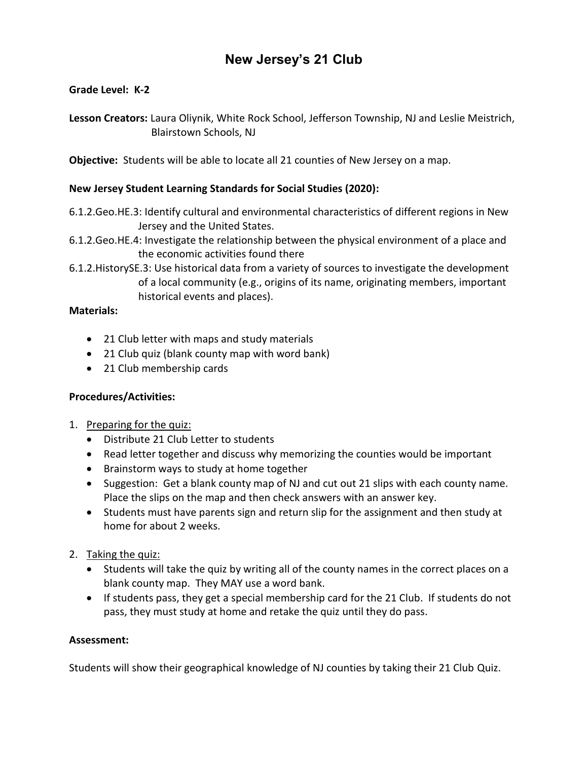## **New Jersey's 21 Club**

### **Grade Level: K-2**

**Lesson Creators:** Laura Oliynik, White Rock School, Jefferson Township, NJ and Leslie Meistrich, Blairstown Schools, NJ

**Objective:** Students will be able to locate all 21 counties of New Jersey on a map.

#### **New Jersey Student Learning Standards for Social Studies (2020):**

- 6.1.2.Geo.HE.3: Identify cultural and environmental characteristics of different regions in New Jersey and the United States.
- 6.1.2.Geo.HE.4: Investigate the relationship between the physical environment of a place and the economic activities found there
- 6.1.2.HistorySE.3: Use historical data from a variety of sources to investigate the development of a local community (e.g., origins of its name, originating members, important historical events and places).

#### **Materials:**

- 21 Club letter with maps and study materials
- 21 Club quiz (blank county map with word bank)
- 21 Club membership cards

#### **Procedures/Activities:**

- 1. Preparing for the quiz:
	- Distribute 21 Club Letter to students
	- Read letter together and discuss why memorizing the counties would be important
	- Brainstorm ways to study at home together
	- Suggestion: Get a blank county map of NJ and cut out 21 slips with each county name. Place the slips on the map and then check answers with an answer key.
	- Students must have parents sign and return slip for the assignment and then study at home for about 2 weeks.
- 2. Taking the quiz:
	- Students will take the quiz by writing all of the county names in the correct places on a blank county map. They MAY use a word bank.
	- If students pass, they get a special membership card for the 21 Club. If students do not pass, they must study at home and retake the quiz until they do pass.

#### **Assessment:**

Students will show their geographical knowledge of NJ counties by taking their 21 Club Quiz.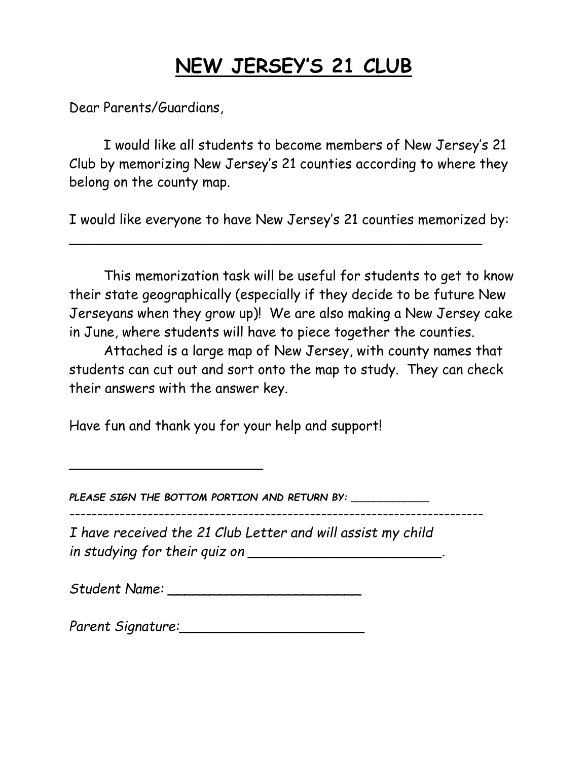# **NEW JERSEY'S 21 CLUB**

Dear Parents/Guardians,

I would like all students to become members of New Jersey's 21 Club by memorizing New Jersey's 21 counties according to where they belong on the county map.

I would like everyone to have New Jersey's 21 counties memorized by:

\_\_\_\_\_\_\_\_\_\_\_\_\_\_\_\_\_\_\_\_\_\_\_\_\_\_\_\_\_\_\_\_\_\_\_\_\_\_\_\_\_\_\_\_\_\_\_\_\_

This memorization task will be useful for students to get to know their state geographically (especially if they decide to be future New Jerseyans when they grow up)! We are also making a New Jersey cake in June, where students will have to piece together the counties.

Attached is a large map of New Jersey, with county names that students can cut out and sort onto the map to study. They can check their answers with the answer key.

Have fun and thank you for your help and support!

\_\_\_\_\_\_\_\_\_\_\_\_\_\_\_\_\_\_\_\_\_\_\_

*PLEASE SIGN THE BOTTOM PORTION AND RETURN BY:* \_\_\_\_\_\_\_\_\_\_\_\_\_

--------------------------------------------------------------------------

*I have received the 21 Club Letter and will assist my child in studying for their quiz on \_\_\_\_\_\_\_\_\_\_\_\_\_\_\_\_\_\_\_\_\_\_\_.*

*Student Name: \_\_\_\_\_\_\_\_\_\_\_\_\_\_\_\_\_\_\_\_\_\_\_*

*Parent Signature:\_\_\_\_\_\_\_\_\_\_\_\_\_\_\_\_\_\_\_\_\_\_*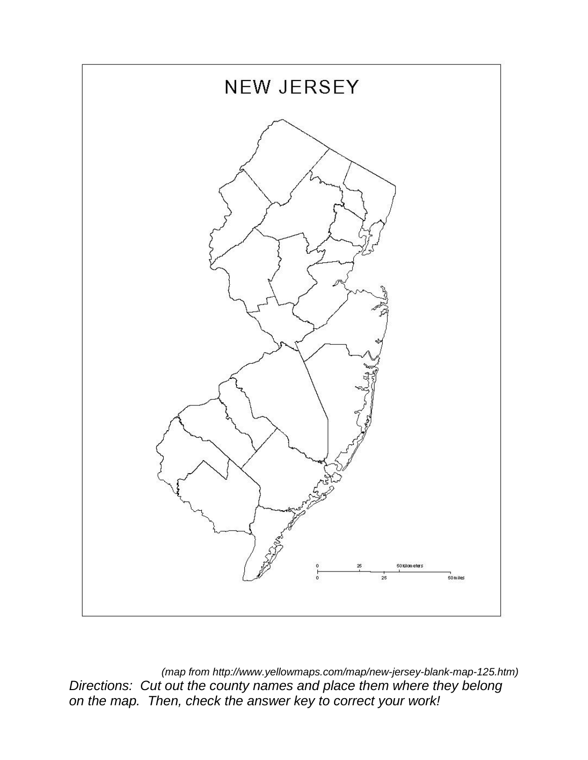

*(map from http://www.yellowmaps.com/map/new-jersey-blank-map-125.htm) Directions: Cut out the county names and place them where they belong on the map. Then, check the answer key to correct your work!*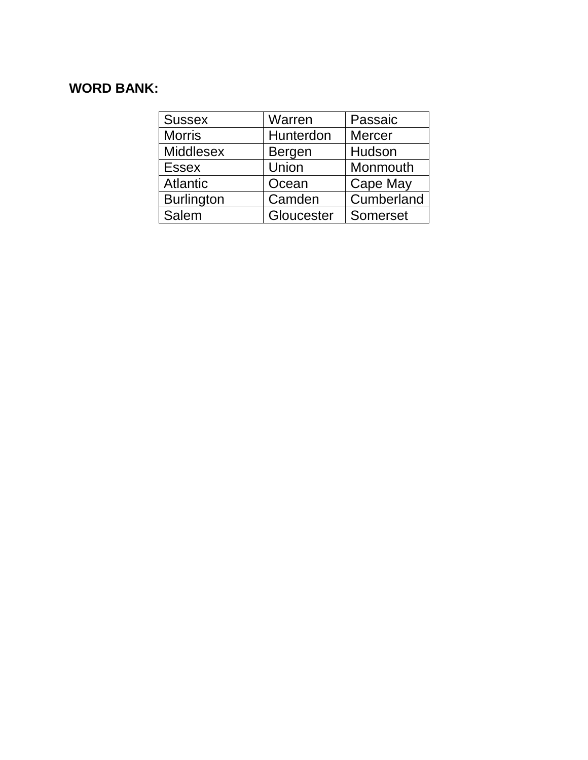## **WORD BANK:**

| <b>Sussex</b>     | Warren        | Passaic       |
|-------------------|---------------|---------------|
| <b>Morris</b>     | Hunterdon     | <b>Mercer</b> |
| <b>Middlesex</b>  | <b>Bergen</b> | Hudson        |
| <b>Essex</b>      | Union         | Monmouth      |
| <b>Atlantic</b>   | Ocean         | Cape May      |
| <b>Burlington</b> | Camden        | Cumberland    |
| Salem             | Gloucester    | Somerset      |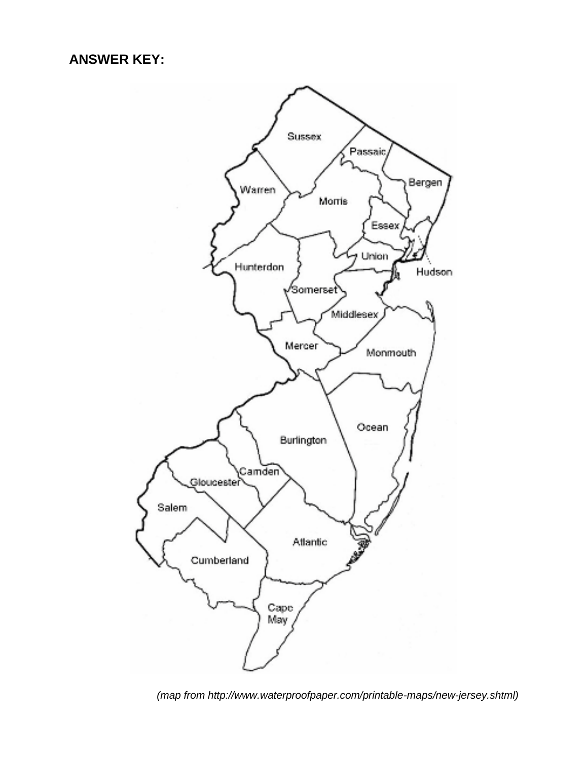

*(map from http://www.waterproofpaper.com/printable-maps/new-jersey.shtml)*